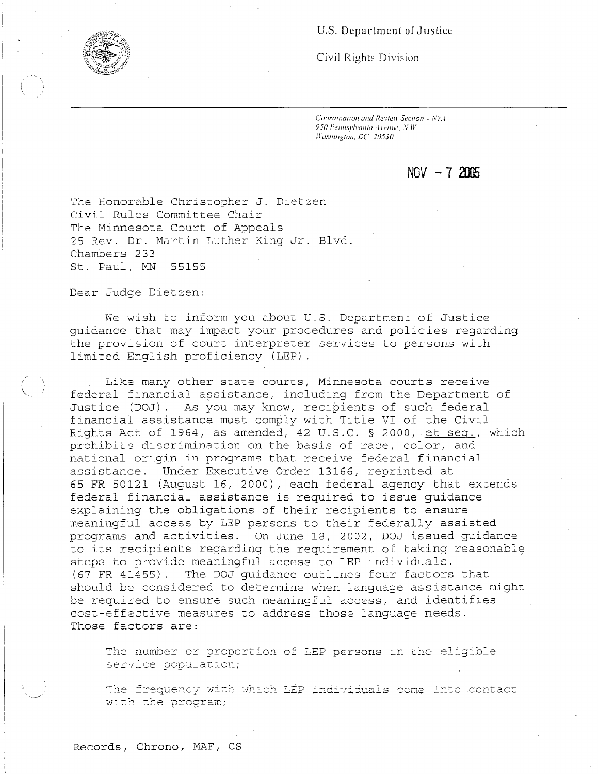## U.S. Department of Justice

Civil Rights Division

Coordination and Review Section - NYA 950 Pennsylvania Avenue, N.W. Washington, DC 20530

**NOV -7 2llE** 

The Honorable Christopher J. Dietzen Civil Rules Committee Chair The Minnesota Court of Appeals 25 Rev. Dr. Martin Luther King Jr. Blvd. Chambers 233 St. Paul, MN 55155

Dear Judge Dietzen:

We wish to inform you about U.S. Department of Justice guidance that may impact your procedures and policies regarding the provision of court interpreter services to persons with limited English proficiency (LEP).

Like many other state courts, Minnesota courts receive federal financial assistance, including from the Department of Justice (DOJ). As you may know, recipients of such federal financial assistance must comply with Title VI of the Civil Rights Act of 1964, as amended, 42 U.S.C. § 2000, et seq., which prohibits discrimination on the basis of race, color, and national origin in programs that receive federal financial assistance. Under Executive Order 13166, reprinted at 65 FR 50121 (August 16, 2000), each federal agency that extends federal financial assistance is required to issue guidance explaining the obligations of their recipients to ensure meaningful access by LEP persons to their federally assisted programs and activities. On June 18, 2002, DOJ issued guidance to its recipients regarding the requirement of taking reasonably steps to provide meaningful access to LEP individuals. (67 FR 41455). The DOJ guidance outlines four factors that should be considered to determine when language assistance might be required to ensure such meaningful access, and identifies cost-effective measures to address those language needs. Those factors are:

The number or proportion of LEP persons in the eligible service population;

The frequency with which LEP individuals come into contact with the program;

Records, Chrono, MAF, CS

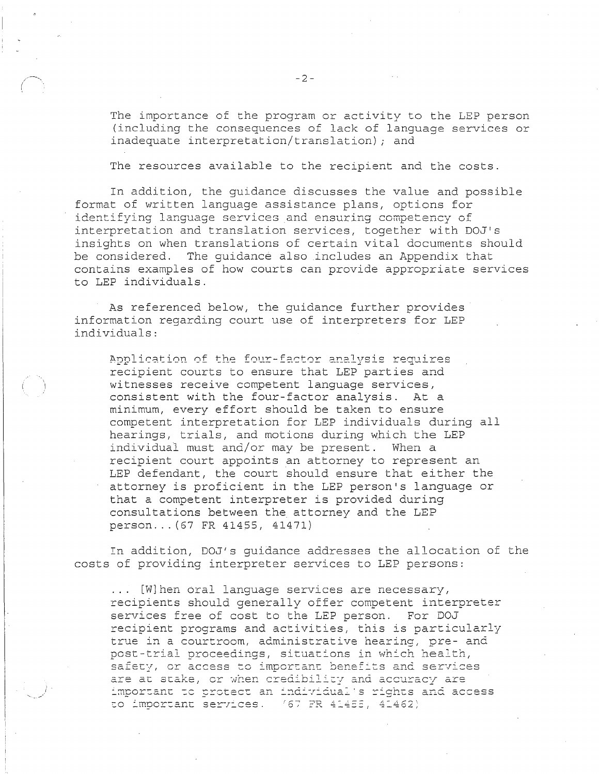The importance of the program or activity to the LEP person (including the consequences of lack of language services or inadequate interpretation/translation); and

The resources available to the recipient and the costs.

In addition, the guidance discusses the value and possible format of written language assistance plans, options for identifying language services and ensuring competency of interpretation and translation services, together with DOJ's insights on when translations of certain vital documents should be considered. The quidance also includes an Appendix that contains examples of how courts can provide appropriate services to LEP individuals.

As referenced below, the guidance further provides information regarding court use of interpreters for LEP individuals:

Application of the four-factor analysis requires recipient courts to ensure that LEP parties and witnesses receive competent language services, consistent with the four-factor analysis. At a minimum, every effort should be taken to ensure competent interpretation for LEP individuals during all hearings, trials, and motions during which the LEP individual must and/or may be present. When a recipient court appoints an attorney to represent an LEP defendant, the court should ensure that either the attorney is proficient in the LEP person's language or that a competent interpreter is provided during consultations between the attorney and the LEP person... (67 FR 41455, 41471)

In addition, DOJ's guidance addresses the allocation of the costs of providing interpreter services to LEP persons:

[W] hen oral language services are necessary,  $\mathbf{1}$  , and  $\mathbf{1}$ recipients should generally offer competent interpreter services free of cost to the LEP person. For DOJ recipient programs and activities, this is particularly true in a courtroom, administrative hearing, pre- and post-trial proceedings, situations in which health, safety, or access to important benefits and services are at stake, or when credibility and accuracy are important to protect an individual's rights and access to important services. (67 FR 41455, 41462)